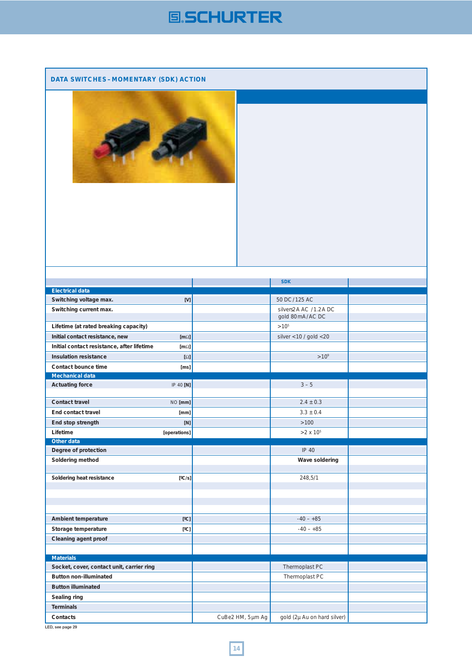## **国SCHURTER**

## **DATA SWITCHES – MOMENTARY (SDK) ACTION**



|                                                             | <b>SDK</b>                               |  |
|-------------------------------------------------------------|------------------------------------------|--|
| <b>Electrical data</b>                                      |                                          |  |
| Switching voltage max.<br>[V]                               | 50 DC/125 AC                             |  |
| Switching current max.                                      | silvers2A AC /1.2A DC<br>gold 80mA/AC DC |  |
|                                                             |                                          |  |
| Lifetime (at rated breaking capacity)                       | $>10^{5}$                                |  |
| Initial contact resistance, new<br>[ $m\Omega$ ]            | silver < $10 /$ gold < $20$              |  |
| Initial contact resistance, after lifetime<br>[ $m\Omega$ ] |                                          |  |
| <b>Insulation resistance</b><br>$[\Omega]$                  | $>10^{9}$                                |  |
| Contact bounce time<br>[ms]                                 |                                          |  |
| <b>Mechanical data</b>                                      |                                          |  |
| IP 40 [N]<br><b>Actuating force</b>                         | $3 - 5$                                  |  |
|                                                             |                                          |  |
| <b>Contact travel</b><br>NO [mm]                            | $2.4 \pm 0.3$                            |  |
| <b>End contact travel</b><br>[mm]                           | $3.3 \pm 0.4$                            |  |
| End stop strength<br>[N]                                    | >100                                     |  |
| Lifetime<br>[operations]                                    | $> 2 \times 10^5$                        |  |
| Other data                                                  |                                          |  |
| Degree of protection                                        | IP 40                                    |  |
| Soldering method                                            | Wave soldering                           |  |
|                                                             |                                          |  |
|                                                             |                                          |  |
| Soldering heat resistance<br>[°C/s]                         | 248,5/1                                  |  |
|                                                             |                                          |  |
|                                                             |                                          |  |
|                                                             |                                          |  |
|                                                             |                                          |  |
| Ambient temperature<br>[°C]                                 | $-40 - +85$                              |  |
| Storage temperature<br>[°C]                                 | $-40 - +85$                              |  |
| Cleaning agent proof                                        |                                          |  |
|                                                             |                                          |  |
| <b>Materials</b>                                            |                                          |  |
| Socket, cover, contact unit, carrier ring                   | Thermoplast PC                           |  |
| <b>Button non-illuminated</b>                               | Thermoplast PC                           |  |
| <b>Button illuminated</b>                                   |                                          |  |
| Sealing ring                                                |                                          |  |
| <b>Terminals</b>                                            |                                          |  |

**LED, see page 29**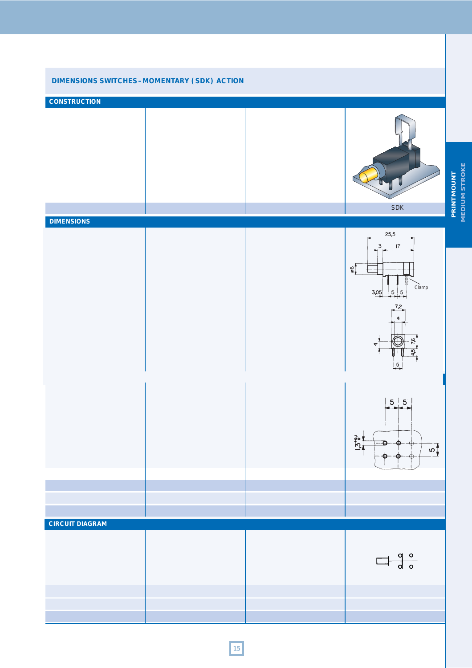